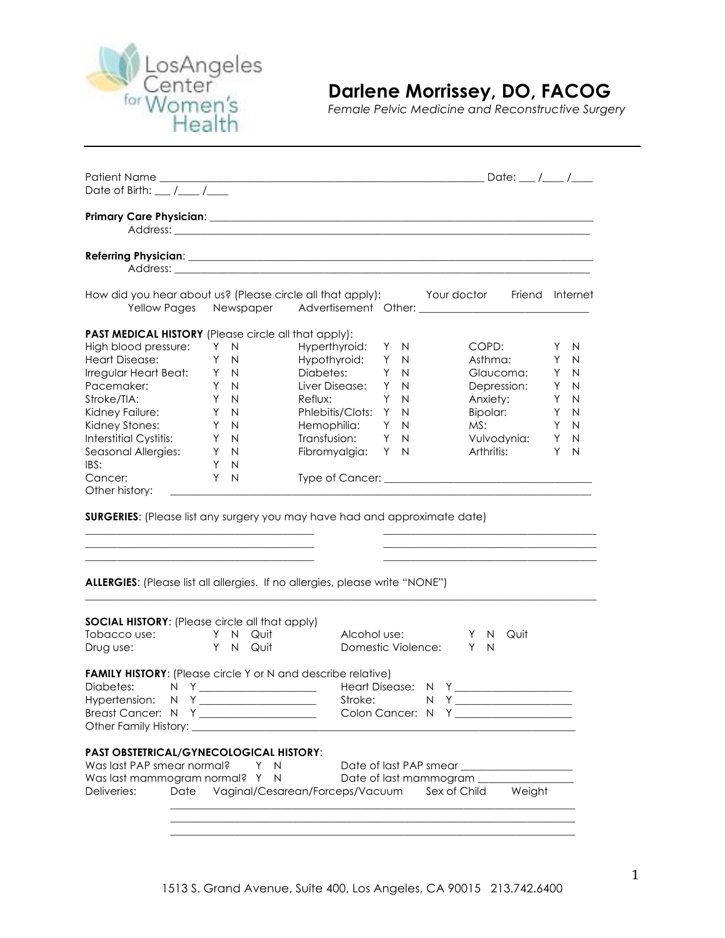

## **Darlene Morrissey, DO, FACOG**

*Female Pelvic Medicine and Reconstructive Surgery*

| Date of Birth: $\frac{1}{\sqrt{1-\frac{1}{2}}}$                                                                                                                                                                                                  |            |                                                                 |     |                                                                                        |                   |
|--------------------------------------------------------------------------------------------------------------------------------------------------------------------------------------------------------------------------------------------------|------------|-----------------------------------------------------------------|-----|----------------------------------------------------------------------------------------|-------------------|
|                                                                                                                                                                                                                                                  |            |                                                                 |     |                                                                                        |                   |
|                                                                                                                                                                                                                                                  |            |                                                                 |     |                                                                                        |                   |
|                                                                                                                                                                                                                                                  |            |                                                                 |     | How did you hear about us? (Please circle all that apply): Your doctor Friend Internet |                   |
| <b>PAST MEDICAL HISTORY</b> (Please circle all that apply):                                                                                                                                                                                      |            |                                                                 |     |                                                                                        |                   |
| High blood pressure: Y N                                                                                                                                                                                                                         |            | Hyperthyroid: Y N                                               |     | COPD:                                                                                  | N<br>Y            |
| <b>Heart Disease:</b>                                                                                                                                                                                                                            | Y N        | Hypothyroid: Y N                                                |     | Asthma:                                                                                | Y<br>N            |
| Irregular Heart Beat: Y N                                                                                                                                                                                                                        |            | Diabetes:                                                       | Y N | Glaucoma:                                                                              | Y<br>N            |
| Pacemaker:                                                                                                                                                                                                                                       | Y N        | Liver Disease: Y N                                              |     | Depression:                                                                            | Y<br>N            |
| Stroke/TIA:                                                                                                                                                                                                                                      | Y N        | Reflux:<br>Y N                                                  |     | Anxiety:                                                                               | Y<br>N            |
| Kidney Failure:                                                                                                                                                                                                                                  |            | Phlebitis/Clots: Y N                                            |     | Bipolar:                                                                               | Y<br>N            |
| Kidney Stones:                                                                                                                                                                                                                                   | Y N<br>Y N | Hemophilia: Y N                                                 |     | MS:                                                                                    | Y<br>N            |
| Interstitial Cystitis: Y N                                                                                                                                                                                                                       |            | Transfusion: Y N                                                |     | Vulvodynia:                                                                            | Y<br>$\mathsf{N}$ |
| Seasonal Allergies: Y N                                                                                                                                                                                                                          |            | Fibromyalgia: Y N                                               |     | Arthritis:                                                                             | Y<br>N            |
| IBS:                                                                                                                                                                                                                                             | Y N        |                                                                 |     |                                                                                        |                   |
| Cancer:                                                                                                                                                                                                                                          | Y<br>N     |                                                                 |     |                                                                                        |                   |
| Other history:                                                                                                                                                                                                                                   |            |                                                                 |     |                                                                                        |                   |
| <b>SURGERIES:</b> (Please list any surgery you may have had and approximate date)<br>ALLERGIES: (Please list all allergies. If no allergies, please write "NONE")                                                                                |            |                                                                 |     |                                                                                        |                   |
|                                                                                                                                                                                                                                                  |            |                                                                 |     |                                                                                        |                   |
| <b>SOCIAL HISTORY:</b> (Please circle all that apply)                                                                                                                                                                                            |            |                                                                 |     |                                                                                        |                   |
| Tobacco use: Y N Quit                                                                                                                                                                                                                            |            | Alcohol use:                                                    |     | Quit<br>Y<br>N,                                                                        |                   |
| Drug use:                                                                                                                                                                                                                                        | Y N Quit   |                                                                 |     | Domestic Violence:<br>Y<br>N                                                           |                   |
| <b>FAMILY HISTORY:</b> (Please circle Y or N and describe relative)<br>Hypertension:<br>Breast Cancer: N Y __________________<br>Other Family History: Networkship and the control of the control of the control of the control of the control o |            | Stroke:                                                         |     |                                                                                        |                   |
| <b>PAST OBSTETRICAL/GYNECOLOGICAL HISTORY:</b><br>Was last PAP smear normal?<br>Was last mammogram normal? Y<br>Deliveries:<br>Date                                                                                                              | Y          | $\mathsf{N}$<br>$\mathsf{N}$<br>Vaginal/Cesarean/Forceps/Vacuum |     | Date of last PAP smear<br>Date of last mammogram ____<br>Sex of Child<br>Weight        |                   |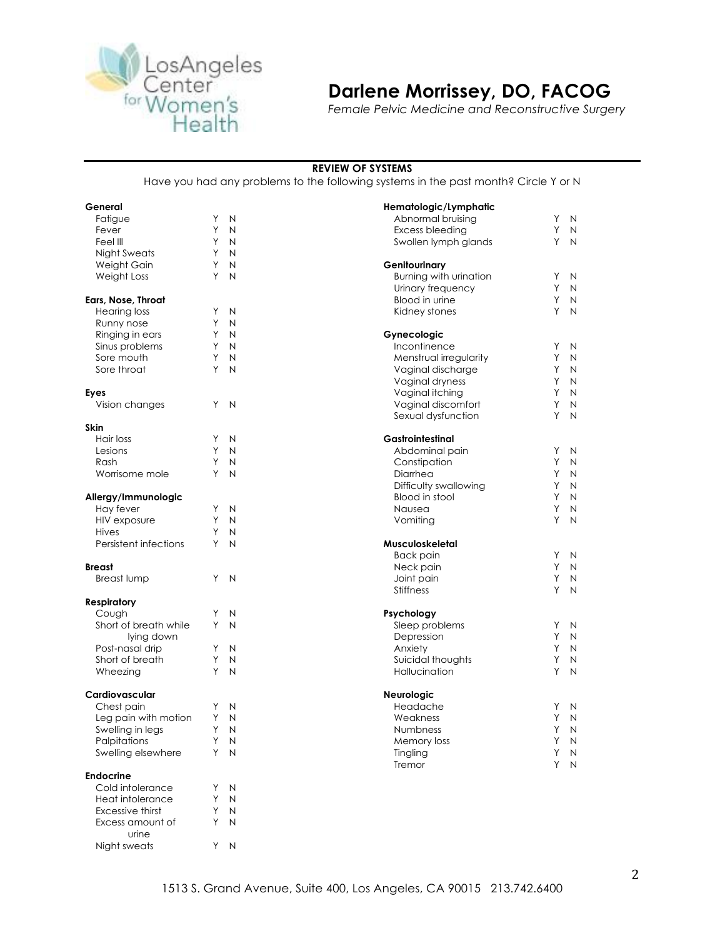

## **Darlene Morrissey, DO, FACOG**

*Female Pelvic Medicine and Reconstructive Surgery*

#### **REVIEW OF SYSTEMS**

Have you had any problems to the following systems in the past month? Circle Y or N

| General               |    |                | Hematologic/Lymphatic  |   |              |
|-----------------------|----|----------------|------------------------|---|--------------|
| Fatigue               | Υ  | N              | Abnormal bruising      | Y | N            |
| Fever                 | Υ  | N              | Excess bleeding        | Y | N            |
| Feel III              | Y  | N              | Swollen lymph glands   | Y | N            |
| <b>Night Sweats</b>   | Υ  | N              |                        |   |              |
| Weight Gain           | Υ  | N              | Genitourinary          |   |              |
| Weight Loss           | Y  | N              | Burning with urination | Y | N            |
|                       |    |                | Urinary frequency      | Υ | N            |
| Ears, Nose, Throat    |    |                | Blood in urine         | Y | N            |
| <b>Hearing loss</b>   | Y  | N              | Kidney stones          | Y | N            |
| Runny nose            | Y  | N              |                        |   |              |
| Ringing in ears       | Y  | N              | Gynecologic            |   |              |
| Sinus problems        | Υ  | N              | Incontinence           | Υ | N            |
| Sore mouth            | Υ  | N              | Menstrual irregularity | Υ | N            |
| Sore throat           | Y  | N              | Vaginal discharge      | Y | N            |
|                       |    |                | Vaginal dryness        | Υ | N            |
| Eyes                  |    |                | Vaginal itching        | Y | N            |
| Vision changes        | Y  | $\overline{N}$ | Vaginal discomfort     | Υ | N            |
|                       |    |                | Sexual dysfunction     | Y | N            |
| <b>Skin</b>           |    |                |                        |   |              |
| Hair loss             | Y  | N              | Gastrointestinal       |   |              |
| Lesions               | Y  | N              | Abdominal pain         | Υ | N            |
| Rash                  | Y  | N              | Constipation           | Y | N            |
| Worrisome mole        | Y  | N              | Diarrhea               | Υ | N            |
|                       |    |                |                        | Y |              |
|                       |    |                | Difficulty swallowing  |   | N            |
| Allergy/Immunologic   |    |                | Blood in stool         | Y | N            |
| Hay fever             | Υ  | N              | Nausea                 | Υ | N            |
| HIV exposure          | Υ  | N              | Vomiting               | Y | N            |
| <b>Hives</b>          | Υ  | N              |                        |   |              |
| Persistent infections | Y  | N              | Musculoskeletal        |   |              |
|                       |    |                | <b>Back pain</b>       | Y | N            |
| <b>Breast</b>         |    |                | Neck pain              | Υ | N            |
| <b>Breast lump</b>    | Y  | $\overline{N}$ | Joint pain             | Y | N            |
|                       |    |                | <b>Stiffness</b>       | Y | N            |
| <b>Respiratory</b>    |    |                |                        |   |              |
| Cough                 | Y  | N              | Psychology             |   |              |
| Short of breath while | Y  | N              | Sleep problems         | Y | N            |
| lying down            |    |                | Depression             | Υ | N            |
| Post-nasal drip       | Y  | N              | Anxiety                | Y | N            |
| Short of breath       | Y  | N              | Suicidal thoughts      | Υ | N            |
| Wheezing              | Y  | N              | Hallucination          | Y | N            |
|                       |    |                |                        |   |              |
| Cardiovascular        |    |                | Neurologic             |   |              |
| Chest pain            | Y  | N              | Headache               | Υ | N            |
| Leg pain with motion  | Y  | N              | Weakness               | Y | N            |
| Swelling in legs      | Y  | N              | Numbness               | Υ | $\mathsf{N}$ |
| Palpitations          | Υ  | N              | Memory loss            | Υ | N            |
| Swelling elsewhere    | Υ  | N              | Tingling               | Υ | N            |
|                       |    |                | Tremor                 | Υ | N            |
| <b>Endocrine</b>      |    |                |                        |   |              |
| Cold intolerance      | Y  | N              |                        |   |              |
| Heat intolerance      | Y  | N              |                        |   |              |
| Excessive thirst      | Υ  | N              |                        |   |              |
| Excess amount of      | Υ  | N              |                        |   |              |
| urine                 |    |                |                        |   |              |
| Night sweats          | Y. | $\mathsf{N}$   |                        |   |              |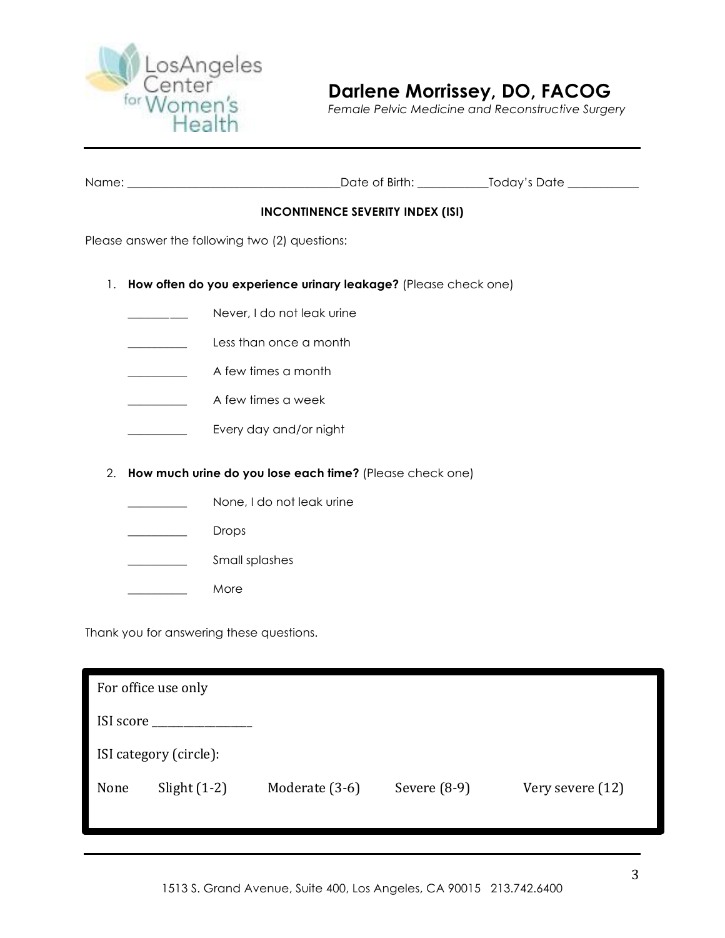

*Female Pelvic Medicine and Reconstructive Surgery*

| Name | Birth:<br>⌒~~+~<br>، د ۱۱ | $T \sim \sim 100 \, \text{m}$<br>≙†∩ו<br>ີນເກເກ <i>∨</i> |
|------|---------------------------|----------------------------------------------------------|
|      |                           |                                                          |

### **INCONTINENCE SEVERITY INDEX (ISI)**

Please answer the following two (2) questions:

- 1. **How often do you experience urinary leakage?** (Please check one)
	- Never, I do not leak urine
	- **Less than once a month**
	- \_\_\_\_\_\_\_\_\_\_ A few times a month
	- **Example 2** A few times a week
	- \_\_\_\_\_\_\_\_\_\_ Every day and/or night
- 2. **How much urine do you lose each time?** (Please check one)
	- None, I do not leak urine
	- \_\_\_\_\_\_\_\_\_\_ Drops
	- Small splashes
		- \_\_\_\_\_\_\_\_\_\_ More

Thank you for answering these questions.

|      | For office use only    |                |                |                  |
|------|------------------------|----------------|----------------|------------------|
|      |                        |                |                |                  |
|      | ISI category (circle): |                |                |                  |
| None | Slight $(1-2)$         | Moderate (3-6) | Severe $(8-9)$ | Very severe (12) |
|      |                        |                |                |                  |